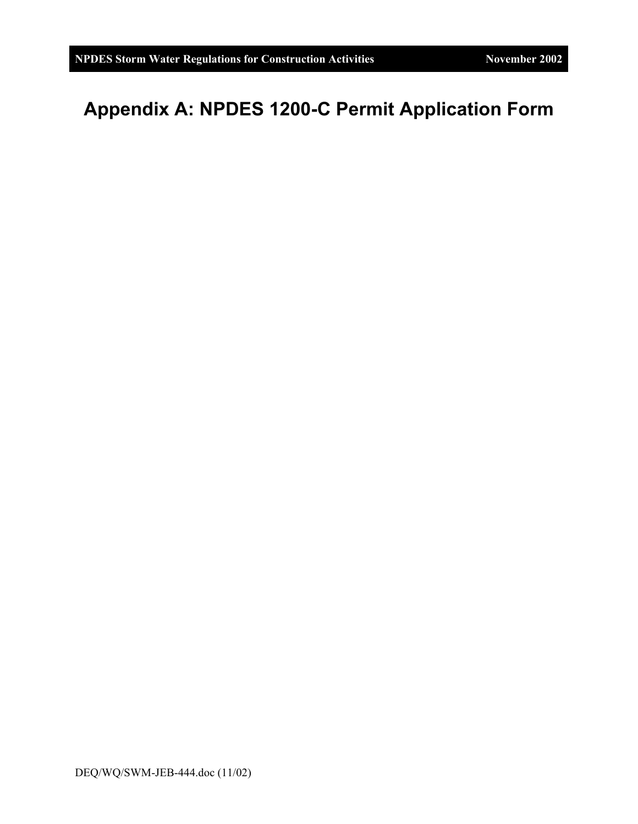## **Appendix A: NPDES 1200-C Permit Application Form**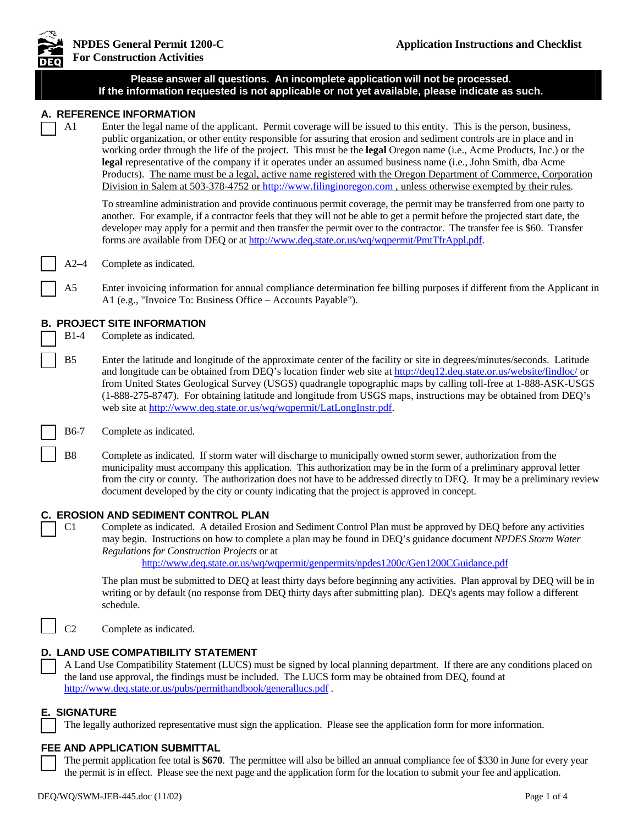

| ण⊑प                 |                                                                                                                                                                                                                                                                                                                                                                                                                                                                                                                                                                                                                                                                                                                                                      |
|---------------------|------------------------------------------------------------------------------------------------------------------------------------------------------------------------------------------------------------------------------------------------------------------------------------------------------------------------------------------------------------------------------------------------------------------------------------------------------------------------------------------------------------------------------------------------------------------------------------------------------------------------------------------------------------------------------------------------------------------------------------------------------|
|                     | Please answer all questions. An incomplete application will not be processed.<br>If the information requested is not applicable or not yet available, please indicate as such.                                                                                                                                                                                                                                                                                                                                                                                                                                                                                                                                                                       |
| A1                  | A. REFERENCE INFORMATION<br>Enter the legal name of the applicant. Permit coverage will be issued to this entity. This is the person, business,<br>public organization, or other entity responsible for assuring that erosion and sediment controls are in place and in<br>working order through the life of the project. This must be the legal Oregon name (i.e., Acme Products, Inc.) or the<br>legal representative of the company if it operates under an assumed business name (i.e., John Smith, dba Acme<br>Products). The name must be a legal, active name registered with the Oregon Department of Commerce, Corporation<br>Division in Salem at 503-378-4752 or http://www.filinginoregon.com, unless otherwise exempted by their rules. |
|                     | To streamline administration and provide continuous permit coverage, the permit may be transferred from one party to<br>another. For example, if a contractor feels that they will not be able to get a permit before the projected start date, the<br>developer may apply for a permit and then transfer the permit over to the contractor. The transfer fee is \$60. Transfer<br>forms are available from DEQ or at http://www.deq.state.or.us/wq/wqpermit/PmtTfrAppl.pdf.                                                                                                                                                                                                                                                                         |
| A2–4                | Complete as indicated.                                                                                                                                                                                                                                                                                                                                                                                                                                                                                                                                                                                                                                                                                                                               |
| A <sub>5</sub>      | Enter invoicing information for annual compliance determination fee billing purposes if different from the Applicant in<br>A1 (e.g., "Invoice To: Business Office - Accounts Payable").                                                                                                                                                                                                                                                                                                                                                                                                                                                                                                                                                              |
| $B1-4$              | <b>B. PROJECT SITE INFORMATION</b><br>Complete as indicated.                                                                                                                                                                                                                                                                                                                                                                                                                                                                                                                                                                                                                                                                                         |
| B <sub>5</sub>      | Enter the latitude and longitude of the approximate center of the facility or site in degrees/minutes/seconds. Latitude<br>and longitude can be obtained from DEQ's location finder web site at http://deq12.deq.state.or.us/website/findloc/ or<br>from United States Geological Survey (USGS) quadrangle topographic maps by calling toll-free at 1-888-ASK-USGS<br>(1-888-275-8747). For obtaining latitude and longitude from USGS maps, instructions may be obtained from DEQ's<br>web site at http://www.deq.state.or.us/wq/wqpermit/LatLongInstr.pdf.                                                                                                                                                                                         |
| <b>B6-7</b>         | Complete as indicated.                                                                                                                                                                                                                                                                                                                                                                                                                                                                                                                                                                                                                                                                                                                               |
| B <sub>8</sub>      | Complete as indicated. If storm water will discharge to municipally owned storm sewer, authorization from the<br>municipality must accompany this application. This authorization may be in the form of a preliminary approval letter<br>from the city or county. The authorization does not have to be addressed directly to DEQ. It may be a preliminary review<br>document developed by the city or county indicating that the project is approved in concept.                                                                                                                                                                                                                                                                                    |
| C <sub>1</sub>      | <b>C. EROSION AND SEDIMENT CONTROL PLAN</b><br>Complete as indicated. A detailed Erosion and Sediment Control Plan must be approved by DEQ before any activities<br>may begin. Instructions on how to complete a plan may be found in DEQ's guidance document NPDES Storm Water<br>Regulations for Construction Projects or at<br>http://www.deq.state.or.us/wq/wqpermit/genpermits/npdes1200c/Gen1200CGuidance.pdf                                                                                                                                                                                                                                                                                                                                  |
|                     | The plan must be submitted to DEQ at least thirty days before beginning any activities. Plan approval by DEQ will be in<br>writing or by default (no response from DEQ thirty days after submitting plan). DEQ's agents may follow a different<br>schedule.                                                                                                                                                                                                                                                                                                                                                                                                                                                                                          |
| C <sub>2</sub>      | Complete as indicated.                                                                                                                                                                                                                                                                                                                                                                                                                                                                                                                                                                                                                                                                                                                               |
|                     | D. LAND USE COMPATIBILITY STATEMENT<br>A Land Use Compatibility Statement (LUCS) must be signed by local planning department. If there are any conditions placed on<br>the land use approval, the findings must be included. The LUCS form may be obtained from DEQ, found at<br>http://www.deq.state.or.us/pubs/permithandbook/generallucs.pdf.                                                                                                                                                                                                                                                                                                                                                                                                     |
| <b>E. SIGNATURE</b> | The legally authorized representative must sign the application. Please see the application form for more information.                                                                                                                                                                                                                                                                                                                                                                                                                                                                                                                                                                                                                               |
|                     | FEE AND APPLICATION SUBMITTAL                                                                                                                                                                                                                                                                                                                                                                                                                                                                                                                                                                                                                                                                                                                        |

The permit application fee total is **\$670**. The permittee will also be billed an annual compliance fee of \$330 in June for every year the permit is in effect. Please see the next page and the application form for the location to submit your fee and application.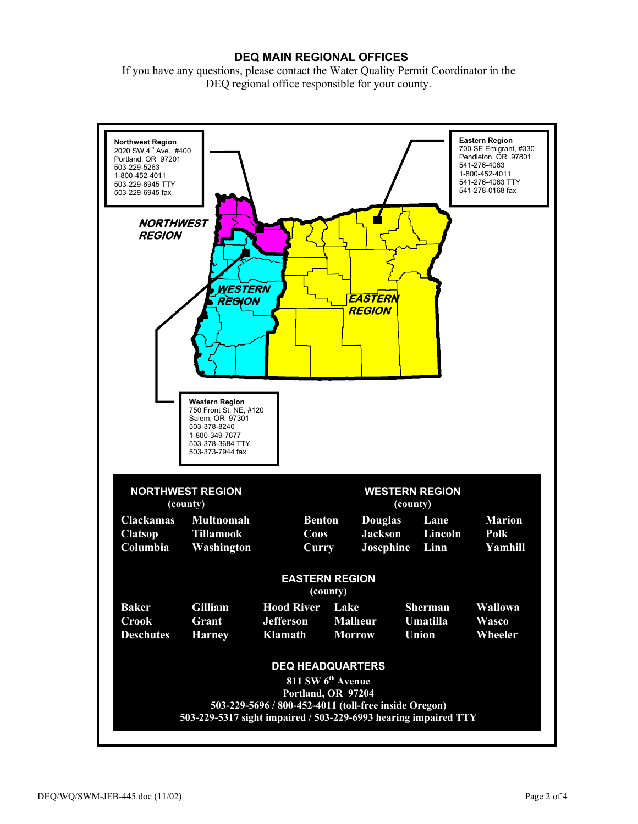## **DEQ MAIN REGIONAL OFFICES**

If you have any questions, please contact the Water Quality Permit Coordinator in the DEQ regional office responsible for your county.

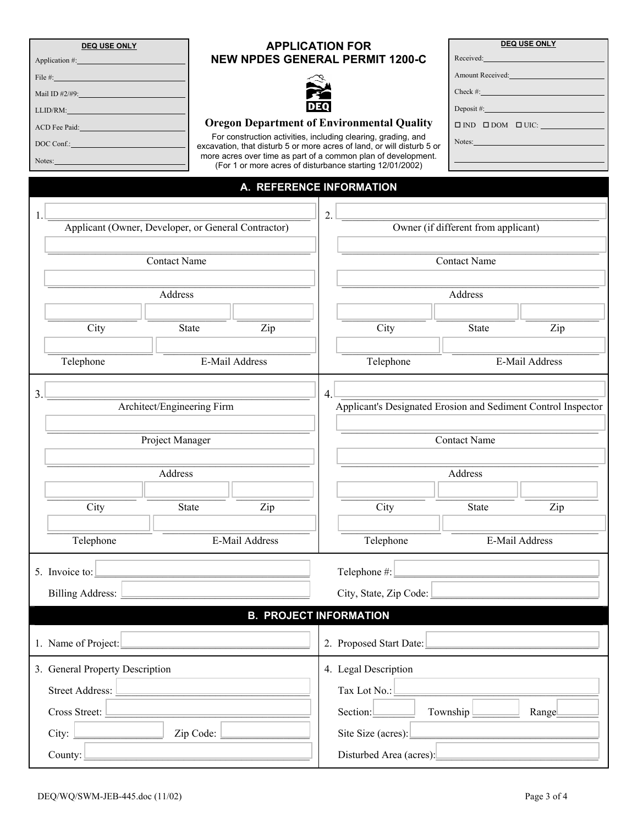| <b>DEQ USE ONLY</b>                                                                                                                                                                                                            |                      | <b>APPLICATION FOR</b>                                                                                                                  | <b>DEQ USE ONLY</b>                                                                                                                                                                                                            |  |  |
|--------------------------------------------------------------------------------------------------------------------------------------------------------------------------------------------------------------------------------|----------------------|-----------------------------------------------------------------------------------------------------------------------------------------|--------------------------------------------------------------------------------------------------------------------------------------------------------------------------------------------------------------------------------|--|--|
| Application #:                                                                                                                                                                                                                 |                      | <b>NEW NPDES GENERAL PERMIT 1200-C</b>                                                                                                  | Received: <b>Example</b> 2014                                                                                                                                                                                                  |  |  |
| File $#$ :                                                                                                                                                                                                                     |                      |                                                                                                                                         | Amount Received: Amount 2014                                                                                                                                                                                                   |  |  |
| Mail ID $\#2/\#9$ :                                                                                                                                                                                                            |                      |                                                                                                                                         | Check #:                                                                                                                                                                                                                       |  |  |
| LLID/RM:                                                                                                                                                                                                                       |                      |                                                                                                                                         | Deposit $#$ :                                                                                                                                                                                                                  |  |  |
| ACD Fee Paid: The Second Second Second Second Second Second Second Second Second Second Second Second Second Second Second Second Second Second Second Second Second Second Second Second Second Second Second Second Second S |                      | <b>Oregon Department of Environmental Quality</b>                                                                                       | $\square$ IND $\square$ DOM $\square$ UIC:                                                                                                                                                                                     |  |  |
| DOC Conf.:                                                                                                                                                                                                                     |                      | For construction activities, including clearing, grading, and<br>excavation, that disturb 5 or more acres of land, or will disturb 5 or | Notes: and the state of the state of the state of the state of the state of the state of the state of the state of the state of the state of the state of the state of the state of the state of the state of the state of the |  |  |
| Notes:                                                                                                                                                                                                                         |                      | more acres over time as part of a common plan of development.                                                                           |                                                                                                                                                                                                                                |  |  |
|                                                                                                                                                                                                                                |                      | (For 1 or more acres of disturbance starting 12/01/2002)                                                                                |                                                                                                                                                                                                                                |  |  |
|                                                                                                                                                                                                                                |                      | A. REFERENCE INFORMATION                                                                                                                |                                                                                                                                                                                                                                |  |  |
|                                                                                                                                                                                                                                |                      |                                                                                                                                         |                                                                                                                                                                                                                                |  |  |
| Applicant (Owner, Developer, or General Contractor)                                                                                                                                                                            |                      | $\overline{2}$ .                                                                                                                        |                                                                                                                                                                                                                                |  |  |
|                                                                                                                                                                                                                                |                      | Owner (if different from applicant)                                                                                                     |                                                                                                                                                                                                                                |  |  |
| <b>Contact Name</b>                                                                                                                                                                                                            |                      |                                                                                                                                         | <b>Contact Name</b>                                                                                                                                                                                                            |  |  |
|                                                                                                                                                                                                                                |                      |                                                                                                                                         |                                                                                                                                                                                                                                |  |  |
|                                                                                                                                                                                                                                |                      |                                                                                                                                         |                                                                                                                                                                                                                                |  |  |
| Address                                                                                                                                                                                                                        |                      |                                                                                                                                         | Address                                                                                                                                                                                                                        |  |  |
|                                                                                                                                                                                                                                |                      |                                                                                                                                         |                                                                                                                                                                                                                                |  |  |
| City                                                                                                                                                                                                                           | <b>State</b><br>Zip  | City                                                                                                                                    | <b>State</b><br>Zip                                                                                                                                                                                                            |  |  |
|                                                                                                                                                                                                                                |                      |                                                                                                                                         |                                                                                                                                                                                                                                |  |  |
| Telephone                                                                                                                                                                                                                      | E-Mail Address       | Telephone                                                                                                                               | E-Mail Address                                                                                                                                                                                                                 |  |  |
|                                                                                                                                                                                                                                |                      |                                                                                                                                         |                                                                                                                                                                                                                                |  |  |
| 3.<br>Architect/Engineering Firm                                                                                                                                                                                               |                      | 4                                                                                                                                       | Applicant's Designated Erosion and Sediment Control Inspector                                                                                                                                                                  |  |  |
|                                                                                                                                                                                                                                |                      |                                                                                                                                         |                                                                                                                                                                                                                                |  |  |
|                                                                                                                                                                                                                                |                      |                                                                                                                                         | <b>Contact Name</b>                                                                                                                                                                                                            |  |  |
| Project Manager                                                                                                                                                                                                                |                      |                                                                                                                                         |                                                                                                                                                                                                                                |  |  |
|                                                                                                                                                                                                                                |                      |                                                                                                                                         |                                                                                                                                                                                                                                |  |  |
| Address                                                                                                                                                                                                                        |                      |                                                                                                                                         | Address                                                                                                                                                                                                                        |  |  |
|                                                                                                                                                                                                                                |                      |                                                                                                                                         |                                                                                                                                                                                                                                |  |  |
| City                                                                                                                                                                                                                           | <b>State</b><br>Zip  | City                                                                                                                                    | State<br>Zip                                                                                                                                                                                                                   |  |  |
|                                                                                                                                                                                                                                |                      |                                                                                                                                         |                                                                                                                                                                                                                                |  |  |
| Telephone                                                                                                                                                                                                                      | E-Mail Address       | Telephone                                                                                                                               | <b>E-Mail Address</b>                                                                                                                                                                                                          |  |  |
|                                                                                                                                                                                                                                |                      |                                                                                                                                         |                                                                                                                                                                                                                                |  |  |
| 5. Invoice to:                                                                                                                                                                                                                 |                      |                                                                                                                                         | $\text{Telephone} \#:\_$                                                                                                                                                                                                       |  |  |
| Billing Address:                                                                                                                                                                                                               |                      |                                                                                                                                         | City, State, Zip Code:                                                                                                                                                                                                         |  |  |
|                                                                                                                                                                                                                                |                      | <b>B. PROJECT INFORMATION</b>                                                                                                           |                                                                                                                                                                                                                                |  |  |
|                                                                                                                                                                                                                                |                      |                                                                                                                                         |                                                                                                                                                                                                                                |  |  |
| 1. Name of Project:                                                                                                                                                                                                            |                      |                                                                                                                                         | 2. Proposed Start Date:                                                                                                                                                                                                        |  |  |
|                                                                                                                                                                                                                                |                      |                                                                                                                                         |                                                                                                                                                                                                                                |  |  |
| 3. General Property Description                                                                                                                                                                                                |                      | 4. Legal Description                                                                                                                    |                                                                                                                                                                                                                                |  |  |
| Street Address:                                                                                                                                                                                                                |                      |                                                                                                                                         | Tax Lot No.:                                                                                                                                                                                                                   |  |  |
| Cross Street:                                                                                                                                                                                                                  |                      |                                                                                                                                         | Section: Township Range                                                                                                                                                                                                        |  |  |
|                                                                                                                                                                                                                                | $\mathsf{Zip Code:}$ |                                                                                                                                         |                                                                                                                                                                                                                                |  |  |
|                                                                                                                                                                                                                                |                      |                                                                                                                                         | Site Size (acres):                                                                                                                                                                                                             |  |  |
| County:                                                                                                                                                                                                                        |                      |                                                                                                                                         | Disturbed Area (acres): 2008. [2016]                                                                                                                                                                                           |  |  |